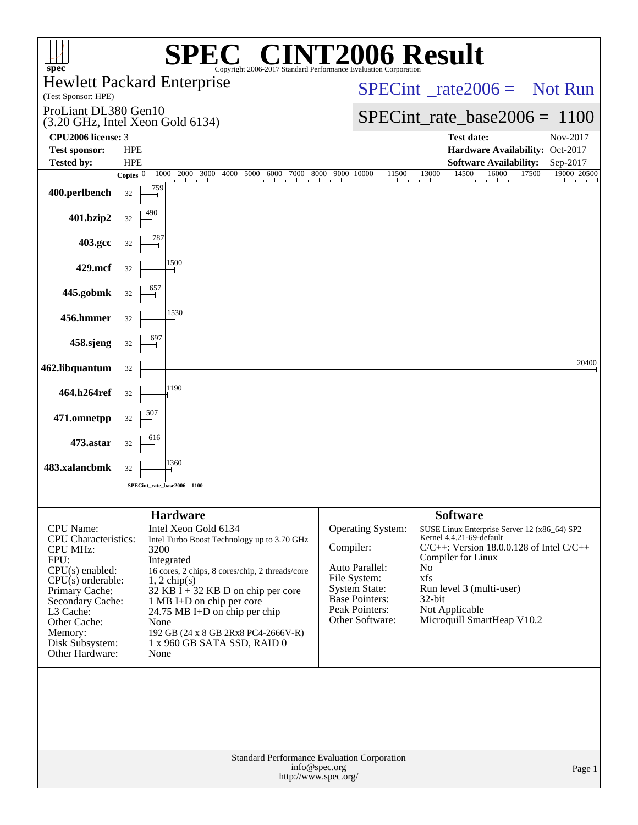| spec <sup>®</sup>                                                                                                                                                                                                                          |              | $\blacksquare$<br>$\blacksquare$<br>Copyright 2006-2017 Standard Performance Evaluation Corporation                                                                                                                                                                                                                                                                                 |                                                                     |                                                                                        | <b>72006 Result</b>                                                                                                                                                                                                                                                      |                      |
|--------------------------------------------------------------------------------------------------------------------------------------------------------------------------------------------------------------------------------------------|--------------|-------------------------------------------------------------------------------------------------------------------------------------------------------------------------------------------------------------------------------------------------------------------------------------------------------------------------------------------------------------------------------------|---------------------------------------------------------------------|----------------------------------------------------------------------------------------|--------------------------------------------------------------------------------------------------------------------------------------------------------------------------------------------------------------------------------------------------------------------------|----------------------|
| (Test Sponsor: HPE)                                                                                                                                                                                                                        |              | Hewlett Packard Enterprise                                                                                                                                                                                                                                                                                                                                                          |                                                                     |                                                                                        | $SPECint^{\circ}$ rate $2006 =$ Not Run                                                                                                                                                                                                                                  |                      |
| ProLiant DL380 Gen10                                                                                                                                                                                                                       |              | $(3.20 \text{ GHz}, \text{Intel Xeon Gold } 6134)$                                                                                                                                                                                                                                                                                                                                  |                                                                     |                                                                                        | $SPECint_rate_base2006 = 1100$                                                                                                                                                                                                                                           |                      |
| CPU2006 license: 3<br><b>Test sponsor:</b>                                                                                                                                                                                                 | <b>HPE</b>   |                                                                                                                                                                                                                                                                                                                                                                                     |                                                                     |                                                                                        | <b>Test date:</b><br>Hardware Availability: Oct-2017                                                                                                                                                                                                                     | Nov-2017             |
| <b>Tested by:</b>                                                                                                                                                                                                                          | <b>HPE</b>   |                                                                                                                                                                                                                                                                                                                                                                                     |                                                                     |                                                                                        | <b>Software Availability:</b>                                                                                                                                                                                                                                            | Sep-2017             |
|                                                                                                                                                                                                                                            | Copies $ 0 $ | 2000 3000 4000 5000 6000 7000 8000 9000 10000<br>1000                                                                                                                                                                                                                                                                                                                               |                                                                     | 11500<br>and the company of the com-                                                   | 13000<br>14500<br>16000<br>and the company                                                                                                                                                                                                                               | 17500<br>19000 20500 |
| 400.perlbench                                                                                                                                                                                                                              | 32           | 759                                                                                                                                                                                                                                                                                                                                                                                 |                                                                     |                                                                                        |                                                                                                                                                                                                                                                                          |                      |
| 401.bzip2                                                                                                                                                                                                                                  | 32           |                                                                                                                                                                                                                                                                                                                                                                                     |                                                                     |                                                                                        |                                                                                                                                                                                                                                                                          |                      |
| 403.gcc                                                                                                                                                                                                                                    | 32           |                                                                                                                                                                                                                                                                                                                                                                                     |                                                                     |                                                                                        |                                                                                                                                                                                                                                                                          |                      |
| 429.mcf                                                                                                                                                                                                                                    | 32           | 1500                                                                                                                                                                                                                                                                                                                                                                                |                                                                     |                                                                                        |                                                                                                                                                                                                                                                                          |                      |
| 445.gobmk                                                                                                                                                                                                                                  | 32           |                                                                                                                                                                                                                                                                                                                                                                                     |                                                                     |                                                                                        |                                                                                                                                                                                                                                                                          |                      |
| 456.hmmer                                                                                                                                                                                                                                  | 32           | 1530                                                                                                                                                                                                                                                                                                                                                                                |                                                                     |                                                                                        |                                                                                                                                                                                                                                                                          |                      |
| 458.sjeng                                                                                                                                                                                                                                  | $32\,$       |                                                                                                                                                                                                                                                                                                                                                                                     |                                                                     |                                                                                        |                                                                                                                                                                                                                                                                          |                      |
| 462.libquantum                                                                                                                                                                                                                             | 32           |                                                                                                                                                                                                                                                                                                                                                                                     |                                                                     |                                                                                        |                                                                                                                                                                                                                                                                          | 20400                |
| 464.h264ref                                                                                                                                                                                                                                | 32           | 1190                                                                                                                                                                                                                                                                                                                                                                                |                                                                     |                                                                                        |                                                                                                                                                                                                                                                                          |                      |
| 471.omnetpp                                                                                                                                                                                                                                | 32           | 507                                                                                                                                                                                                                                                                                                                                                                                 |                                                                     |                                                                                        |                                                                                                                                                                                                                                                                          |                      |
| 473.astar                                                                                                                                                                                                                                  | 32           |                                                                                                                                                                                                                                                                                                                                                                                     |                                                                     |                                                                                        |                                                                                                                                                                                                                                                                          |                      |
| 483.xalancbmk                                                                                                                                                                                                                              | 32           | 1360                                                                                                                                                                                                                                                                                                                                                                                |                                                                     |                                                                                        |                                                                                                                                                                                                                                                                          |                      |
|                                                                                                                                                                                                                                            |              | SPECint rate base $2006 = 1100$                                                                                                                                                                                                                                                                                                                                                     |                                                                     |                                                                                        |                                                                                                                                                                                                                                                                          |                      |
|                                                                                                                                                                                                                                            |              |                                                                                                                                                                                                                                                                                                                                                                                     |                                                                     |                                                                                        |                                                                                                                                                                                                                                                                          |                      |
| <b>CPU</b> Name:<br><b>CPU</b> Characteristics:<br><b>CPU MHz:</b><br>FPU:<br>$CPU(s)$ enabled:<br>$CPU(s)$ orderable:<br>Primary Cache:<br>Secondary Cache:<br>L3 Cache:<br>Other Cache:<br>Memory:<br>Disk Subsystem:<br>Other Hardware: |              | <b>Hardware</b><br>Intel Xeon Gold 6134<br>Intel Turbo Boost Technology up to 3.70 GHz<br>3200<br>Integrated<br>16 cores, 2 chips, 8 cores/chip, 2 threads/core<br>$1, 2$ chip(s)<br>32 KB $\bar{I}$ + 32 KB D on chip per core<br>1 MB I+D on chip per core<br>24.75 MB I+D on chip per chip<br>None<br>192 GB (24 x 8 GB 2Rx8 PC4-2666V-R)<br>1 x 960 GB SATA SSD, RAID 0<br>None | Compiler:<br>Auto Parallel:<br>File System:<br><b>System State:</b> | <b>Operating System:</b><br><b>Base Pointers:</b><br>Peak Pointers:<br>Other Software: | <b>Software</b><br>SUSE Linux Enterprise Server 12 (x86_64) SP2<br>Kernel 4.4.21-69-default<br>$C/C++$ : Version 18.0.0.128 of Intel $C/C++$<br>Compiler for Linux<br>No<br>xfs<br>Run level 3 (multi-user)<br>$32$ -bit<br>Not Applicable<br>Microquill SmartHeap V10.2 |                      |
| Standard Performance Evaluation Corporation<br>info@spec.org<br>Page 1<br>http://www.spec.org/                                                                                                                                             |              |                                                                                                                                                                                                                                                                                                                                                                                     |                                                                     |                                                                                        |                                                                                                                                                                                                                                                                          |                      |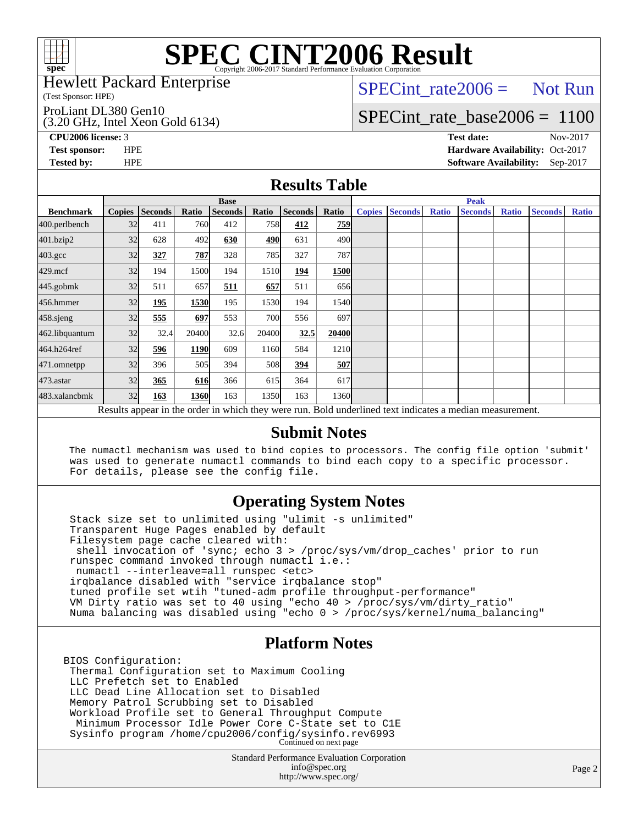

#### Hewlett Packard Enterprise

(Test Sponsor: HPE)

#### ProLiant DL380 Gen10

(3.20 GHz, Intel Xeon Gold 6134)

 $SPECTnt_rate2006 = Not Run$ 

# [SPECint\\_rate\\_base2006 =](http://www.spec.org/auto/cpu2006/Docs/result-fields.html#SPECintratebase2006) 1100

**[CPU2006 license:](http://www.spec.org/auto/cpu2006/Docs/result-fields.html#CPU2006license)** 3 **[Test date:](http://www.spec.org/auto/cpu2006/Docs/result-fields.html#Testdate)** Nov-2017 **[Test sponsor:](http://www.spec.org/auto/cpu2006/Docs/result-fields.html#Testsponsor)** HPE **[Hardware Availability:](http://www.spec.org/auto/cpu2006/Docs/result-fields.html#HardwareAvailability)** Oct-2017 **[Tested by:](http://www.spec.org/auto/cpu2006/Docs/result-fields.html#Testedby)** HPE **[Software Availability:](http://www.spec.org/auto/cpu2006/Docs/result-fields.html#SoftwareAvailability)** Sep-2017

#### **[Results Table](http://www.spec.org/auto/cpu2006/Docs/result-fields.html#ResultsTable)**

|                    | <b>Base</b>                                                                                              |                |              |                |            |                |                   |               |                | <b>Peak</b>  |                |              |                |              |  |
|--------------------|----------------------------------------------------------------------------------------------------------|----------------|--------------|----------------|------------|----------------|-------------------|---------------|----------------|--------------|----------------|--------------|----------------|--------------|--|
| <b>Benchmark</b>   | <b>Copies</b>                                                                                            | <b>Seconds</b> | <b>Ratio</b> | <b>Seconds</b> | Ratio      | <b>Seconds</b> | Ratio             | <b>Copies</b> | <b>Seconds</b> | <b>Ratio</b> | <b>Seconds</b> | <b>Ratio</b> | <b>Seconds</b> | <b>Ratio</b> |  |
| 400.perlbench      | 32                                                                                                       | 411            | 760          | 412            | 758        | 412            | 759               |               |                |              |                |              |                |              |  |
| 401.bzip2          | 32                                                                                                       | 628            | 492          | 630            | 490        | 631            | 490l              |               |                |              |                |              |                |              |  |
| $403.\mathrm{gcc}$ | 32                                                                                                       | 327            | 787          | 328            | 785        | 327            | 787I              |               |                |              |                |              |                |              |  |
| $429$ .mcf         | 32                                                                                                       | 194            | 1500         | 194            | 1510       | 194            | 1500              |               |                |              |                |              |                |              |  |
| $445$ .gobm $k$    | 32                                                                                                       | 511            | 657          | 511            | 657        | 511            | 656               |               |                |              |                |              |                |              |  |
| 456.hmmer          | 32                                                                                                       | 195            | 1530         | 195            | 1530       | 194            | 1540              |               |                |              |                |              |                |              |  |
| 458.sjeng          | 32                                                                                                       | 555            | 697          | 553            | <b>700</b> | 556            | 697l              |               |                |              |                |              |                |              |  |
| 462.libquantum     | 32                                                                                                       | 32.4           | 20400        | 32.6           | 20400      | 32.5           | 20400             |               |                |              |                |              |                |              |  |
| 464.h264ref        | 32                                                                                                       | 596            | 1190         | 609            | 1160       | 584            | 1210              |               |                |              |                |              |                |              |  |
| 471.omnetpp        | 32                                                                                                       | 396            | 505          | 394            | 508        | 394            | 507               |               |                |              |                |              |                |              |  |
| $473$ . astar      | 32                                                                                                       | 365            | 616          | 366            | 615        | 364            | 617               |               |                |              |                |              |                |              |  |
| 483.xalancbmk      | 32                                                                                                       | 163            | 1360         | 163            | 1350       | 163            | 1360 <sub>l</sub> |               |                |              |                |              |                |              |  |
|                    | Results appear in the order in which they were run. Bold underlined text indicates a median measurement. |                |              |                |            |                |                   |               |                |              |                |              |                |              |  |

#### **[Submit Notes](http://www.spec.org/auto/cpu2006/Docs/result-fields.html#SubmitNotes)**

 The numactl mechanism was used to bind copies to processors. The config file option 'submit' was used to generate numactl commands to bind each copy to a specific processor. For details, please see the config file.

### **[Operating System Notes](http://www.spec.org/auto/cpu2006/Docs/result-fields.html#OperatingSystemNotes)**

 Stack size set to unlimited using "ulimit -s unlimited" Transparent Huge Pages enabled by default Filesystem page cache cleared with: shell invocation of 'sync; echo 3 > /proc/sys/vm/drop\_caches' prior to run runspec command invoked through numactl i.e.: numactl --interleave=all runspec <etc> irqbalance disabled with "service irqbalance stop" tuned profile set wtih "tuned-adm profile throughput-performance" VM Dirty ratio was set to 40 using "echo 40 > /proc/sys/vm/dirty\_ratio" Numa balancing was disabled using "echo 0 > /proc/sys/kernel/numa\_balancing"

#### **[Platform Notes](http://www.spec.org/auto/cpu2006/Docs/result-fields.html#PlatformNotes)**

BIOS Configuration: Thermal Configuration set to Maximum Cooling LLC Prefetch set to Enabled LLC Dead Line Allocation set to Disabled Memory Patrol Scrubbing set to Disabled Workload Profile set to General Throughput Compute Minimum Processor Idle Power Core C-State set to C1E Sysinfo program /home/cpu2006/config/sysinfo.rev6993 Continued on next page

> Standard Performance Evaluation Corporation [info@spec.org](mailto:info@spec.org) <http://www.spec.org/>

Page 2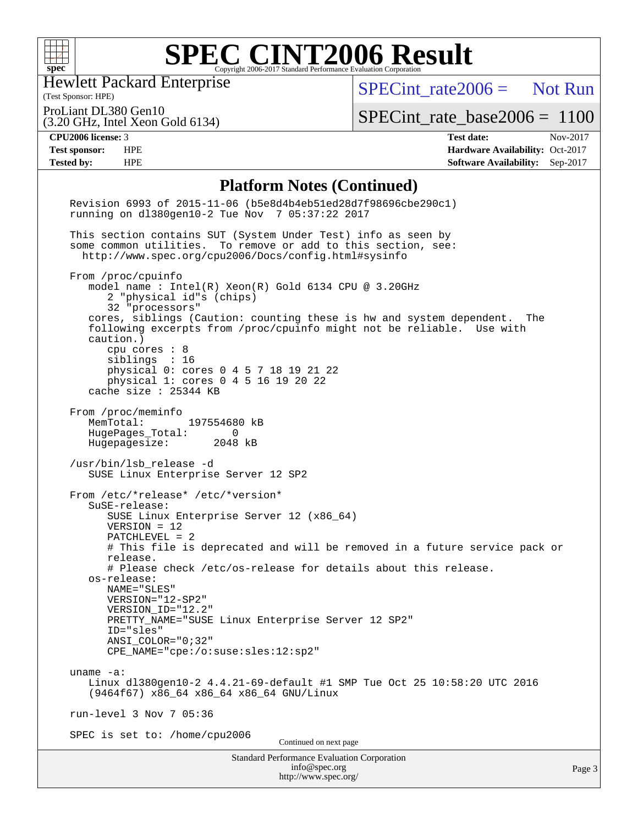

Hewlett Packard Enterprise

[SPECint\\_rate2006 =](http://www.spec.org/auto/cpu2006/Docs/result-fields.html#SPECintrate2006) Not Run

(Test Sponsor: HPE) ProLiant DL380 Gen10

(3.20 GHz, Intel Xeon Gold 6134)

[SPECint\\_rate\\_base2006 =](http://www.spec.org/auto/cpu2006/Docs/result-fields.html#SPECintratebase2006) 1100

**[CPU2006 license:](http://www.spec.org/auto/cpu2006/Docs/result-fields.html#CPU2006license)** 3 **[Test date:](http://www.spec.org/auto/cpu2006/Docs/result-fields.html#Testdate)** Nov-2017 **[Test sponsor:](http://www.spec.org/auto/cpu2006/Docs/result-fields.html#Testsponsor)** HPE **[Hardware Availability:](http://www.spec.org/auto/cpu2006/Docs/result-fields.html#HardwareAvailability)** Oct-2017 **[Tested by:](http://www.spec.org/auto/cpu2006/Docs/result-fields.html#Testedby)** HPE **[Software Availability:](http://www.spec.org/auto/cpu2006/Docs/result-fields.html#SoftwareAvailability)** Sep-2017

#### **[Platform Notes \(Continued\)](http://www.spec.org/auto/cpu2006/Docs/result-fields.html#PlatformNotes)**

| <b>Standard Performance Evaluation Corporation</b><br>info@spec.org<br>http://www.spec.org/                                                                                                                                                                                                                                                                                                                                              | Page 3 |
|------------------------------------------------------------------------------------------------------------------------------------------------------------------------------------------------------------------------------------------------------------------------------------------------------------------------------------------------------------------------------------------------------------------------------------------|--------|
| SPEC is set to: /home/cpu2006<br>Continued on next page                                                                                                                                                                                                                                                                                                                                                                                  |        |
| run-level 3 Nov 7 05:36                                                                                                                                                                                                                                                                                                                                                                                                                  |        |
| uname $-a$ :<br>Linux dl380qen10-2 4.4.21-69-default #1 SMP Tue Oct 25 10:58:20 UTC 2016<br>(9464f67) x86_64 x86_64 x86_64 GNU/Linux                                                                                                                                                                                                                                                                                                     |        |
| os-release:<br>NAME="SLES"<br>VERSION="12-SP2"<br>VERSION ID="12.2"<br>PRETTY_NAME="SUSE Linux Enterprise Server 12 SP2"<br>ID="sles"<br>$ANSI$ _COLOR=" $0:32$ "<br>CPE_NAME="cpe:/o:suse:sles:12:sp2"                                                                                                                                                                                                                                  |        |
| From /etc/*release* /etc/*version*<br>SuSE-release:<br>SUSE Linux Enterprise Server 12 (x86_64)<br>$VERSION = 12$<br>PATCHLEVEL = 2<br># This file is deprecated and will be removed in a future service pack or<br>release.<br># Please check /etc/os-release for details about this release.                                                                                                                                           |        |
| /usr/bin/lsb_release -d<br>SUSE Linux Enterprise Server 12 SP2                                                                                                                                                                                                                                                                                                                                                                           |        |
| From /proc/meminfo<br>MemTotal:<br>197554680 kB<br>HugePages_Total:<br>0<br>Hugepagesize: 2048 kB                                                                                                                                                                                                                                                                                                                                        |        |
| From /proc/cpuinfo<br>model name : Intel(R) Xeon(R) Gold 6134 CPU @ 3.20GHz<br>2 "physical id"s (chips)<br>32 "processors"<br>cores, siblings (Caution: counting these is hw and system dependent.<br>The<br>following excerpts from /proc/cpuinfo might not be reliable. Use with<br>caution.)<br>cpu cores : 8<br>sibling: 16<br>physical 0: cores 0 4 5 7 18 19 21 22<br>physical 1: cores 0 4 5 16 19 20 22<br>cache size : 25344 KB |        |
| This section contains SUT (System Under Test) info as seen by<br>some common utilities. To remove or add to this section, see:<br>http://www.spec.org/cpu2006/Docs/config.html#sysinfo                                                                                                                                                                                                                                                   |        |
| Revision 6993 of 2015-11-06 (b5e8d4b4eb51ed28d7f98696cbe290c1)<br>running on dl380gen10-2 Tue Nov 7 05:37:22 2017                                                                                                                                                                                                                                                                                                                        |        |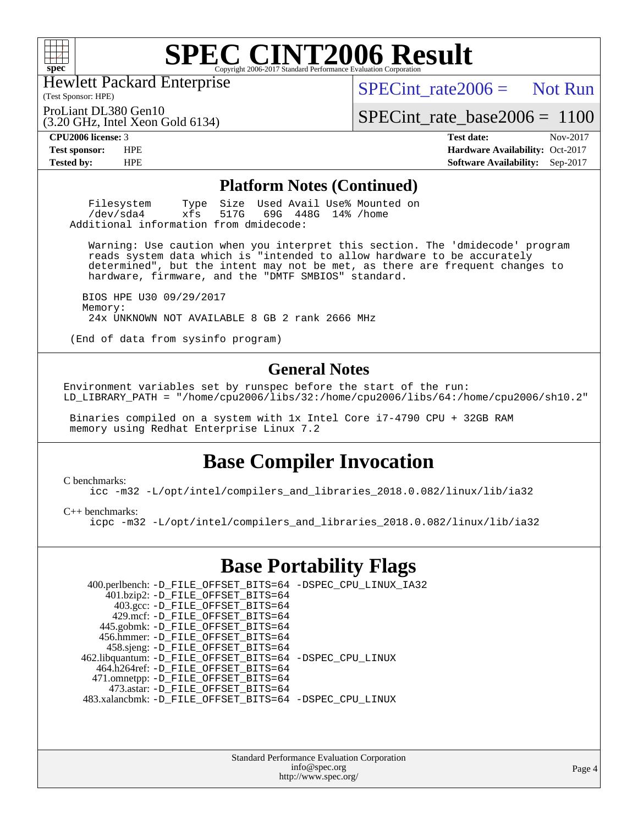

(Test Sponsor: HPE) Hewlett Packard Enterprise

 $SPECint rate2006 =$  Not Run

ProLiant DL380 Gen10

(3.20 GHz, Intel Xeon Gold 6134)

[SPECint\\_rate\\_base2006 =](http://www.spec.org/auto/cpu2006/Docs/result-fields.html#SPECintratebase2006) 1100

**[CPU2006 license:](http://www.spec.org/auto/cpu2006/Docs/result-fields.html#CPU2006license)** 3 **[Test date:](http://www.spec.org/auto/cpu2006/Docs/result-fields.html#Testdate)** Nov-2017 **[Test sponsor:](http://www.spec.org/auto/cpu2006/Docs/result-fields.html#Testsponsor)** HPE **[Hardware Availability:](http://www.spec.org/auto/cpu2006/Docs/result-fields.html#HardwareAvailability)** Oct-2017 **[Tested by:](http://www.spec.org/auto/cpu2006/Docs/result-fields.html#Testedby)** HPE **[Software Availability:](http://www.spec.org/auto/cpu2006/Docs/result-fields.html#SoftwareAvailability)** Sep-2017

#### **[Platform Notes \(Continued\)](http://www.spec.org/auto/cpu2006/Docs/result-fields.html#PlatformNotes)**

Filesystem Type Size Used Avail Use% Mounted on<br>
/dev/sda4 xfs 517G 69G 448G 14% /home 69G 448G 14% /home Additional information from dmidecode:

 Warning: Use caution when you interpret this section. The 'dmidecode' program reads system data which is "intended to allow hardware to be accurately determined", but the intent may not be met, as there are frequent changes to hardware, firmware, and the "DMTF SMBIOS" standard.

 BIOS HPE U30 09/29/2017 Memory: 24x UNKNOWN NOT AVAILABLE 8 GB 2 rank 2666 MHz

(End of data from sysinfo program)

#### **[General Notes](http://www.spec.org/auto/cpu2006/Docs/result-fields.html#GeneralNotes)**

Environment variables set by runspec before the start of the run: LD\_LIBRARY\_PATH = "/home/cpu2006/libs/32:/home/cpu2006/libs/64:/home/cpu2006/sh10.2"

 Binaries compiled on a system with 1x Intel Core i7-4790 CPU + 32GB RAM memory using Redhat Enterprise Linux 7.2

### **[Base Compiler Invocation](http://www.spec.org/auto/cpu2006/Docs/result-fields.html#BaseCompilerInvocation)**

[C benchmarks](http://www.spec.org/auto/cpu2006/Docs/result-fields.html#Cbenchmarks):

[icc -m32 -L/opt/intel/compilers\\_and\\_libraries\\_2018.0.082/linux/lib/ia32](http://www.spec.org/cpu2006/results/res2017q4/cpu2006-20171114-50732.flags.html#user_CCbase_intel_icc_355c401af4d5dc87e09103a6bbcae1c6)

[C++ benchmarks:](http://www.spec.org/auto/cpu2006/Docs/result-fields.html#CXXbenchmarks)

[icpc -m32 -L/opt/intel/compilers\\_and\\_libraries\\_2018.0.082/linux/lib/ia32](http://www.spec.org/cpu2006/results/res2017q4/cpu2006-20171114-50732.flags.html#user_CXXbase_intel_icpc_b34a6f497613b30bc6bf10051974f22f)

### **[Base Portability Flags](http://www.spec.org/auto/cpu2006/Docs/result-fields.html#BasePortabilityFlags)**

| 400.perlbench: -D_FILE_OFFSET_BITS=64 -DSPEC_CPU_LINUX_IA32 |
|-------------------------------------------------------------|
|                                                             |
|                                                             |
|                                                             |
|                                                             |
|                                                             |
|                                                             |
| 462.libquantum: -D_FILE_OFFSET_BITS=64 -DSPEC_CPU_LINUX     |
|                                                             |
|                                                             |
|                                                             |
| 483.xalancbmk: -D_FILE_OFFSET_BITS=64 -DSPEC_CPU_LINUX      |
|                                                             |

Standard Performance Evaluation Corporation [info@spec.org](mailto:info@spec.org) <http://www.spec.org/>